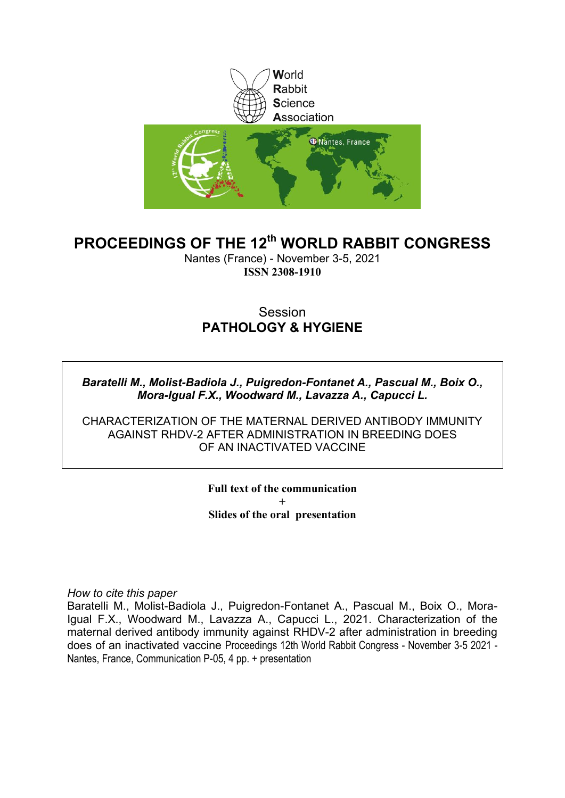

### **PROCEEDINGS OF THE 12th WORLD RABBIT CONGRESS**

Nantes (France) - November 3-5, 2021 **ISSN 2308-1910**

### **Session PATHOLOGY & HYGIENE**

*Baratelli M., Molist-Badiola J., Puigredon-Fontanet A., Pascual M., Boix O., Mora-Igual F.X., Woodward M., Lavazza A., Capucci L.*

CHARACTERIZATION OF THE MATERNAL DERIVED ANTIBODY IMMUNITY AGAINST RHDV-2 AFTER ADMINISTRATION IN BREEDING DOES OF AN INACTIVATED VACCINE

> **Full text of the communication + Slides of the oral presentation**

*How to cite this paper*

Baratelli M., Molist-Badiola J., Puigredon-Fontanet A., Pascual M., Boix O., Mora-Igual F.X., Woodward M., Lavazza A., Capucci L., 2021. Characterization of the maternal derived antibody immunity against RHDV-2 after administration in breeding does of an inactivated vaccine Proceedings 12th World Rabbit Congress - November 3-5 2021 - Nantes, France, Communication P-05, 4 pp. + presentation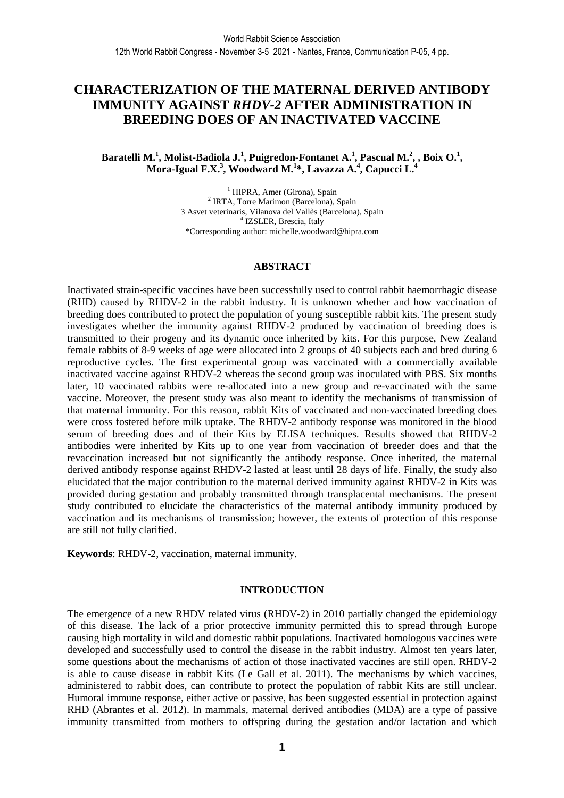### **CHARACTERIZATION OF THE MATERNAL DERIVED ANTIBODY IMMUNITY AGAINST** *RHDV-2* **AFTER ADMINISTRATION IN BREEDING DOES OF AN INACTIVATED VACCINE**

#### **Baratelli M.<sup>1</sup> , Molist-Badiola J.<sup>1</sup> , Puigredon-Fontanet A.<sup>1</sup> , Pascual M.<sup>2</sup> , , Boix O.<sup>1</sup> , Mora-Igual F.X.<sup>3</sup> , Woodward M.<sup>1</sup> \*, Lavazza A.<sup>4</sup> , Capucci L.<sup>4</sup>**

<sup>1</sup> HIPRA, Amer (Girona), Spain 2 IRTA, Torre Marimon (Barcelona), Spain 3 Asvet veterinaris, Vilanova del Vallès (Barcelona), Spain 4 IZSLER, Brescia, Italy \*Corresponding author: michelle.woodward@hipra.com

#### **ABSTRACT**

Inactivated strain-specific vaccines have been successfully used to control rabbit haemorrhagic disease (RHD) caused by RHDV-2 in the rabbit industry. It is unknown whether and how vaccination of breeding does contributed to protect the population of young susceptible rabbit kits. The present study investigates whether the immunity against RHDV-2 produced by vaccination of breeding does is transmitted to their progeny and its dynamic once inherited by kits. For this purpose, New Zealand female rabbits of 8-9 weeks of age were allocated into 2 groups of 40 subjects each and bred during 6 reproductive cycles. The first experimental group was vaccinated with a commercially available inactivated vaccine against RHDV-2 whereas the second group was inoculated with PBS. Six months later, 10 vaccinated rabbits were re-allocated into a new group and re-vaccinated with the same vaccine. Moreover, the present study was also meant to identify the mechanisms of transmission of that maternal immunity. For this reason, rabbit Kits of vaccinated and non-vaccinated breeding does were cross fostered before milk uptake. The RHDV-2 antibody response was monitored in the blood serum of breeding does and of their Kits by ELISA techniques. Results showed that RHDV-2 antibodies were inherited by Kits up to one year from vaccination of breeder does and that the revaccination increased but not significantly the antibody response. Once inherited, the maternal derived antibody response against RHDV-2 lasted at least until 28 days of life. Finally, the study also elucidated that the major contribution to the maternal derived immunity against RHDV-2 in Kits was provided during gestation and probably transmitted through transplacental mechanisms. The present study contributed to elucidate the characteristics of the maternal antibody immunity produced by vaccination and its mechanisms of transmission; however, the extents of protection of this response are still not fully clarified.

**Keywords**: RHDV-2, vaccination, maternal immunity.

#### **INTRODUCTION**

The emergence of a new RHDV related virus (RHDV-2) in 2010 partially changed the epidemiology of this disease. The lack of a prior protective immunity permitted this to spread through Europe causing high mortality in wild and domestic rabbit populations. Inactivated homologous vaccines were developed and successfully used to control the disease in the rabbit industry. Almost ten years later, some questions about the mechanisms of action of those inactivated vaccines are still open. RHDV-2 is able to cause disease in rabbit Kits (Le Gall et al. 2011). The mechanisms by which vaccines, administered to rabbit does, can contribute to protect the population of rabbit Kits are still unclear. Humoral immune response, either active or passive, has been suggested essential in protection against RHD (Abrantes et al. 2012). In mammals, maternal derived antibodies (MDA) are a type of passive immunity transmitted from mothers to offspring during the gestation and/or lactation and which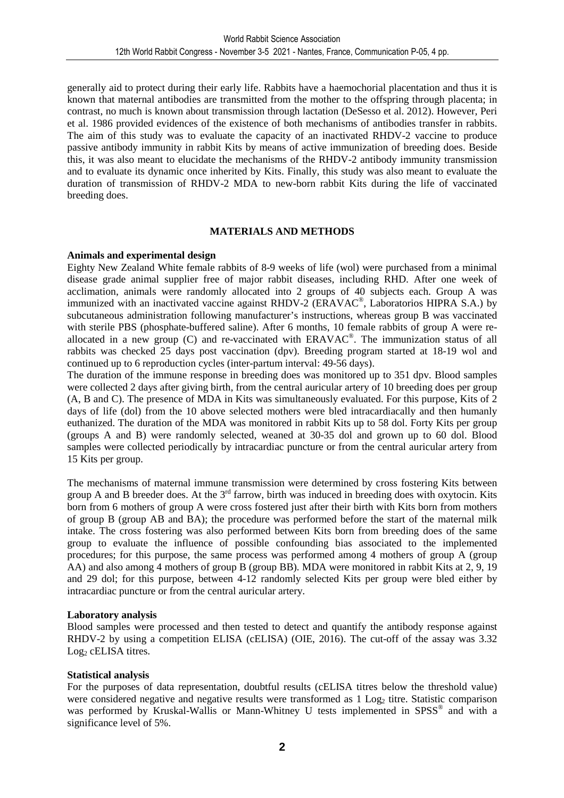generally aid to protect during their early life. Rabbits have a haemochorial placentation and thus it is known that maternal antibodies are transmitted from the mother to the offspring through placenta; in contrast, no much is known about transmission through lactation (DeSesso et al. 2012). However, Peri et al. 1986 provided evidences of the existence of both mechanisms of antibodies transfer in rabbits. The aim of this study was to evaluate the capacity of an inactivated RHDV-2 vaccine to produce passive antibody immunity in rabbit Kits by means of active immunization of breeding does. Beside this, it was also meant to elucidate the mechanisms of the RHDV-2 antibody immunity transmission and to evaluate its dynamic once inherited by Kits. Finally, this study was also meant to evaluate the duration of transmission of RHDV-2 MDA to new-born rabbit Kits during the life of vaccinated breeding does.

#### **MATERIALS AND METHODS**

#### **Animals and experimental design**

Eighty New Zealand White female rabbits of 8-9 weeks of life (wol) were purchased from a minimal disease grade animal supplier free of major rabbit diseases, including RHD. After one week of acclimation, animals were randomly allocated into 2 groups of 40 subjects each. Group A was immunized with an inactivated vaccine against RHDV-2 (ERAVAC<sup>®</sup>, Laboratorios HIPRA S.A.) by subcutaneous administration following manufacturer's instructions, whereas group B was vaccinated with sterile PBS (phosphate-buffered saline). After 6 months, 10 female rabbits of group A were reallocated in a new group (C) and re-vaccinated with ERAVAC® . The immunization status of all rabbits was checked 25 days post vaccination (dpv). Breeding program started at 18-19 wol and continued up to 6 reproduction cycles (inter-partum interval: 49-56 days).

The duration of the immune response in breeding does was monitored up to 351 dpv. Blood samples were collected 2 days after giving birth, from the central auricular artery of 10 breeding does per group (A, B and C). The presence of MDA in Kits was simultaneously evaluated. For this purpose, Kits of 2 days of life (dol) from the 10 above selected mothers were bled intracardiacally and then humanly euthanized. The duration of the MDA was monitored in rabbit Kits up to 58 dol. Forty Kits per group (groups A and B) were randomly selected, weaned at 30-35 dol and grown up to 60 dol. Blood samples were collected periodically by intracardiac puncture or from the central auricular artery from 15 Kits per group.

The mechanisms of maternal immune transmission were determined by cross fostering Kits between group A and B breeder does. At the 3<sup>rd</sup> farrow, birth was induced in breeding does with oxytocin. Kits born from 6 mothers of group A were cross fostered just after their birth with Kits born from mothers of group B (group AB and BA); the procedure was performed before the start of the maternal milk intake. The cross fostering was also performed between Kits born from breeding does of the same group to evaluate the influence of possible confounding bias associated to the implemented procedures; for this purpose, the same process was performed among 4 mothers of group A (group AA) and also among 4 mothers of group B (group BB). MDA were monitored in rabbit Kits at 2, 9, 19 and 29 dol; for this purpose, between 4-12 randomly selected Kits per group were bled either by intracardiac puncture or from the central auricular artery.

#### **Laboratory analysis**

Blood samples were processed and then tested to detect and quantify the antibody response against RHDV-2 by using a competition ELISA (cELISA) (OIE, 2016). The cut-off of the assay was 3.32  $Log<sub>2</sub>$  cELISA titres.

#### **Statistical analysis**

For the purposes of data representation, doubtful results (cELISA titres below the threshold value) were considered negative and negative results were transformed as  $1 \text{ Log}_2$  titre. Statistic comparison was performed by Kruskal-Wallis or Mann-Whitney U tests implemented in SPSS® and with a significance level of 5%.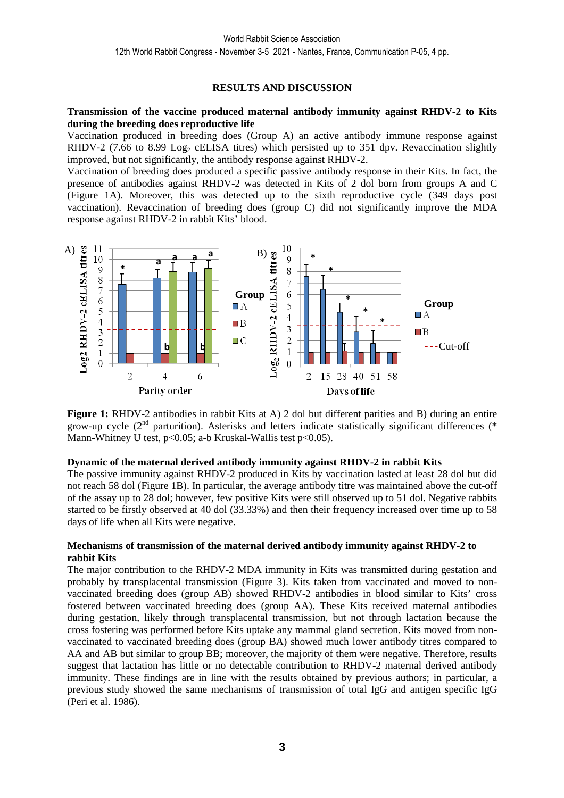#### **RESULTS AND DISCUSSION**

#### **Transmission of the vaccine produced maternal antibody immunity against RHDV-2 to Kits during the breeding does reproductive life**

Vaccination produced in breeding does (Group A) an active antibody immune response against RHDV-2 (7.66 to 8.99 Log<sub>2</sub> cELISA titres) which persisted up to 351 dpv. Revaccination slightly improved, but not significantly, the antibody response against RHDV-2.

Vaccination of breeding does produced a specific passive antibody response in their Kits. In fact, the presence of antibodies against RHDV-2 was detected in Kits of 2 dol born from groups A and C (Figure 1A). Moreover, this was detected up to the sixth reproductive cycle (349 days post vaccination). Revaccination of breeding does (group C) did not significantly improve the MDA response against RHDV-2 in rabbit Kits' blood.



**Figure 1:** RHDV-2 antibodies in rabbit Kits at A) 2 dol but different parities and B) during an entire grow-up cycle ( $2<sup>nd</sup>$  parturition). Asterisks and letters indicate statistically significant differences (\* Mann-Whitney U test, p<0.05; a-b Kruskal-Wallis test p<0.05).

#### **Dynamic of the maternal derived antibody immunity against RHDV-2 in rabbit Kits**

The passive immunity against RHDV-2 produced in Kits by vaccination lasted at least 28 dol but did not reach 58 dol (Figure 1B). In particular, the average antibody titre was maintained above the cut-off of the assay up to 28 dol; however, few positive Kits were still observed up to 51 dol. Negative rabbits started to be firstly observed at 40 dol (33.33%) and then their frequency increased over time up to 58 days of life when all Kits were negative.

#### **Mechanisms of transmission of the maternal derived antibody immunity against RHDV-2 to rabbit Kits**

The major contribution to the RHDV-2 MDA immunity in Kits was transmitted during gestation and probably by transplacental transmission (Figure 3). Kits taken from vaccinated and moved to nonvaccinated breeding does (group AB) showed RHDV-2 antibodies in blood similar to Kits' cross fostered between vaccinated breeding does (group AA). These Kits received maternal antibodies during gestation, likely through transplacental transmission, but not through lactation because the cross fostering was performed before Kits uptake any mammal gland secretion. Kits moved from nonvaccinated to vaccinated breeding does (group BA) showed much lower antibody titres compared to AA and AB but similar to group BB; moreover, the majority of them were negative. Therefore, results suggest that lactation has little or no detectable contribution to RHDV-2 maternal derived antibody immunity. These findings are in line with the results obtained by previous authors; in particular, a previous study showed the same mechanisms of transmission of total IgG and antigen specific IgG (Peri et al. 1986).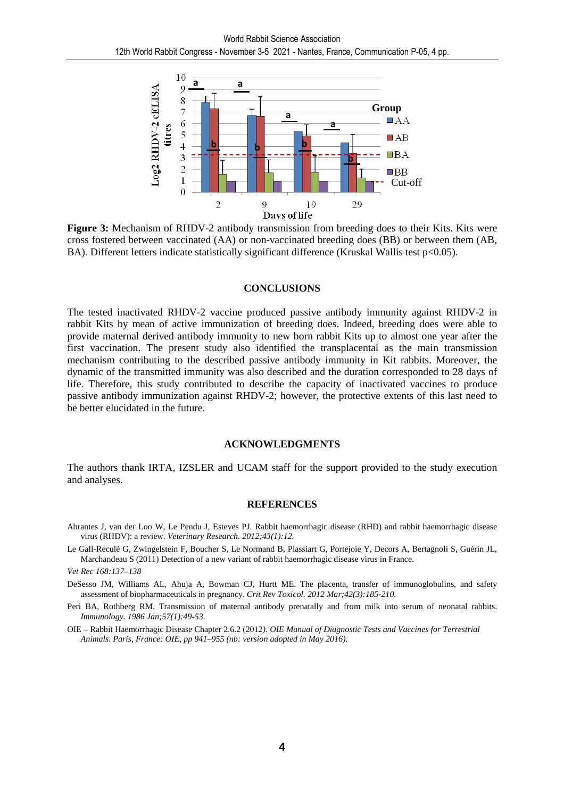

**Figure 3:** Mechanism of RHDV-2 antibody transmission from breeding does to their Kits. Kits were cross fostered between vaccinated (AA) or non-vaccinated breeding does (BB) or between them (AB, BA). Different letters indicate statistically significant difference (Kruskal Wallis test p<0.05).

#### **CONCLUSIONS**

The tested inactivated RHDV-2 vaccine produced passive antibody immunity against RHDV-2 in rabbit Kits by mean of active immunization of breeding does. Indeed, breeding does were able to provide maternal derived antibody immunity to new born rabbit Kits up to almost one year after the first vaccination. The present study also identified the transplacental as the main transmission mechanism contributing to the described passive antibody immunity in Kit rabbits. Moreover, the dynamic of the transmitted immunity was also described and the duration corresponded to 28 days of life. Therefore, this study contributed to describe the capacity of inactivated vaccines to produce passive antibody immunization against RHDV-2; however, the protective extents of this last need to be better elucidated in the future.

#### **ACKNOWLEDGMENTS**

The authors thank IRTA, IZSLER and UCAM staff for the support provided to the study execution and analyses.

#### **REFERENCES**

- Abrantes J, van der Loo W, Le Pendu J, Esteves PJ. Rabbit haemorrhagic disease (RHD) and rabbit haemorrhagic disease virus (RHDV): a review. *Veterinary Research. 2012;43(1):12.*
- Le Gall-Reculé G, Zwingelstein F, Boucher S, Le Normand B, Plassiart G, Portejoie Y, Decors A, Bertagnoli S, Guérin JL, Marchandeau S (2011) Detection of a new variant of rabbit haemorrhagic disease virus in France.

*Vet Rec 168:137–138* 

- DeSesso JM, Williams AL, Ahuja A, Bowman CJ, Hurtt ME. The placenta, transfer of immunoglobulins, and safety assessment of biopharmaceuticals in pregnancy. *Crit Rev Toxicol. 2012 Mar;42(3):185-210.*
- Peri BA, Rothberg RM. Transmission of maternal antibody prenatally and from milk into serum of neonatal rabbits. *Immunology. 1986 Jan;57(1):49-53.*

OIE – Rabbit Haemorrhagic Disease Chapter 2.6.2 (2012*). OIE Manual of Diagnostic Tests and Vaccines for Terrestrial Animals. Paris, France: OIE, pp 941–955 (nb: version adopted in May 2016).*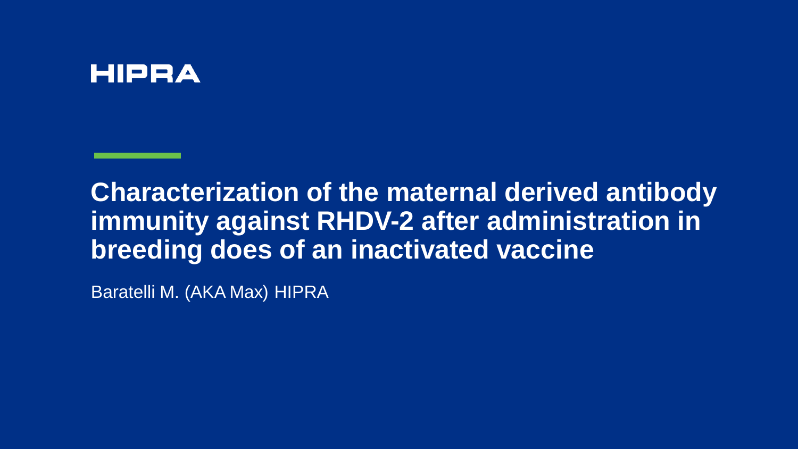### **HIPRA**

### **Characterization of the maternal derived antibody immunity against RHDV-2 after administration in breeding does of an inactivated vaccine**

Baratelli M. (AKA Max) HIPRA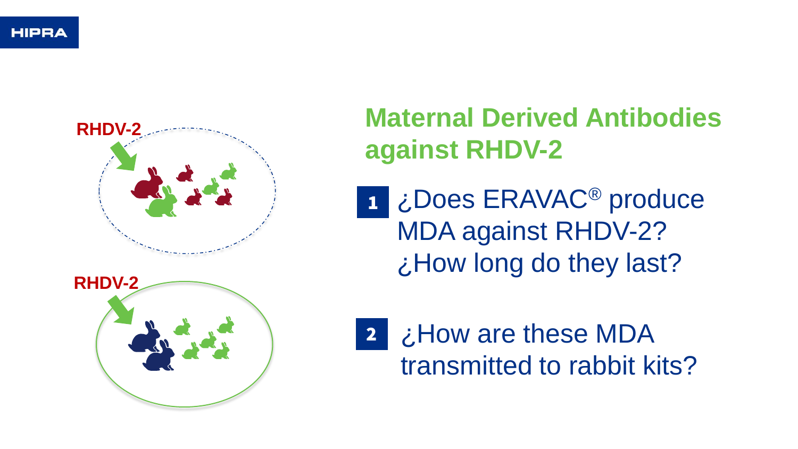

# **Maternal Derived Antibodies against RHDV-2**

- $\frac{1}{2}$ ¿Does ERAVAC ® produce MDA against RHDV -2? ¿How long do they last?
- ¿How are these MDA transmitted to rabbit kits?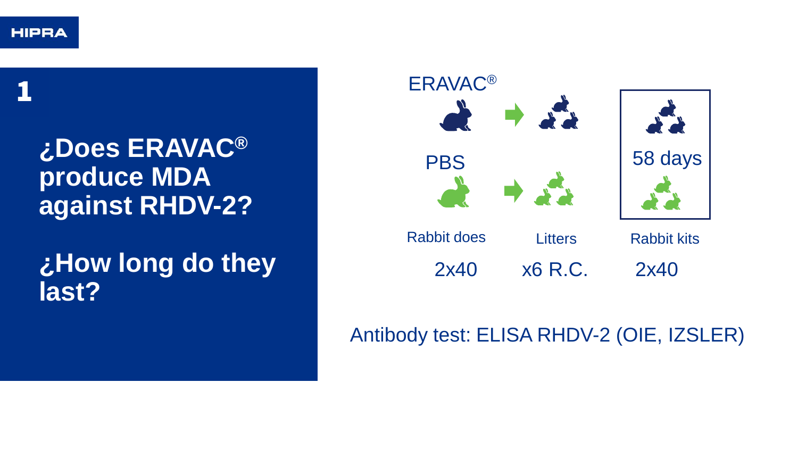1

# **¿Does ERAVAC® produce MDA against RHDV-2?**

# **¿How long do they last?**



### Antibody test: ELISA RHDV-2 (OIE, IZSLER)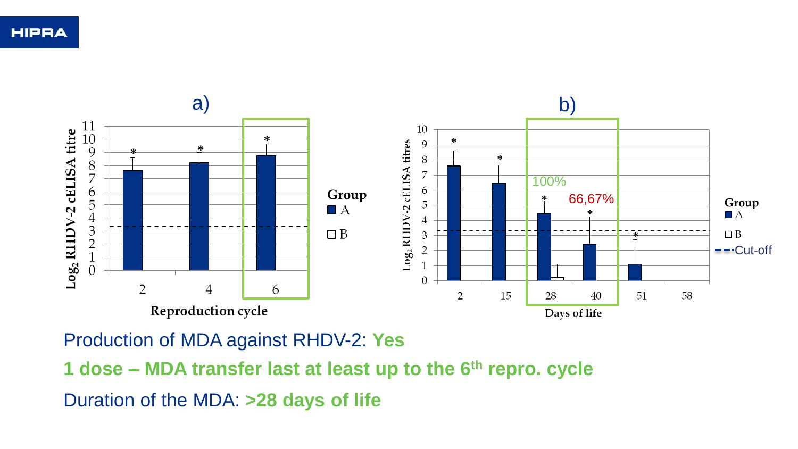

Production of MDA against RHDV-2: **Yes**

Duration of the MDA: **>28 days of life 1 dose – MDA transfer last at least up to the 6th repro. cycle**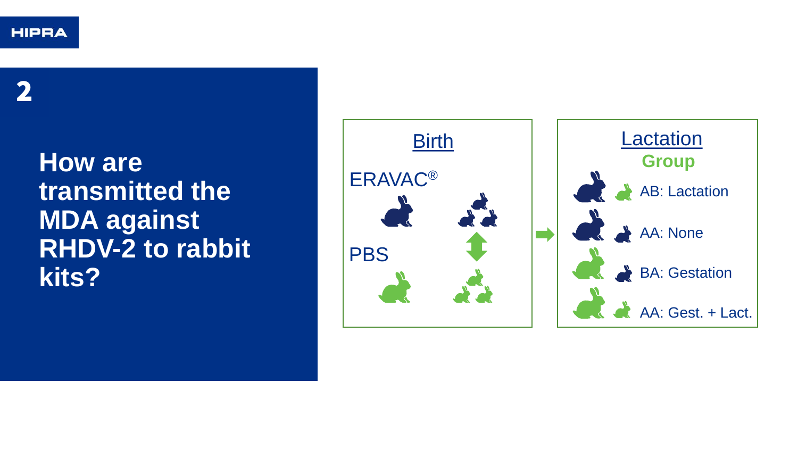2

## **How are transmitted the MDA against RHDV-2 to rabbit kits?**

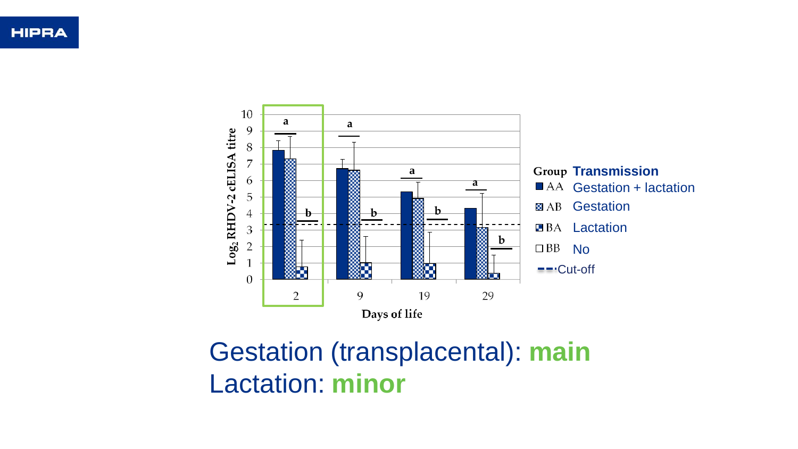

# Gestation (transplacental): **main** Lactation: **minor**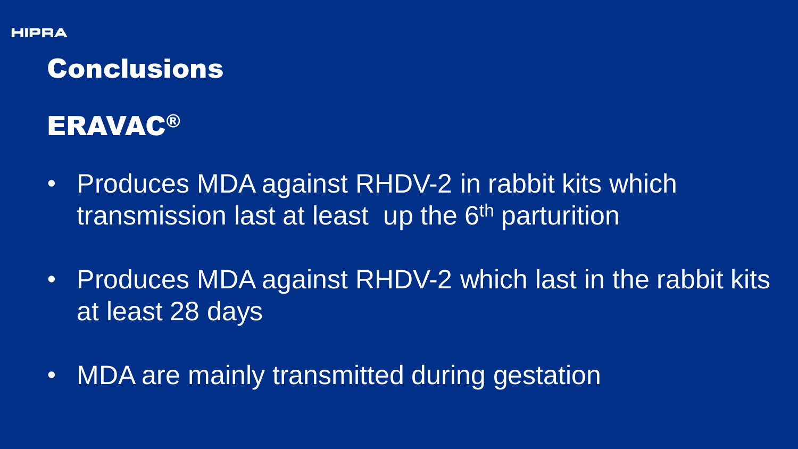## Conclusions

ERAVAC®

- Produces MDA against RHDV-2 in rabbit kits which transmission last at least up the 6<sup>th</sup> parturition
- Produces MDA against RHDV-2 which last in the rabbit kits at least 28 days
- MDA are mainly transmitted during gestation